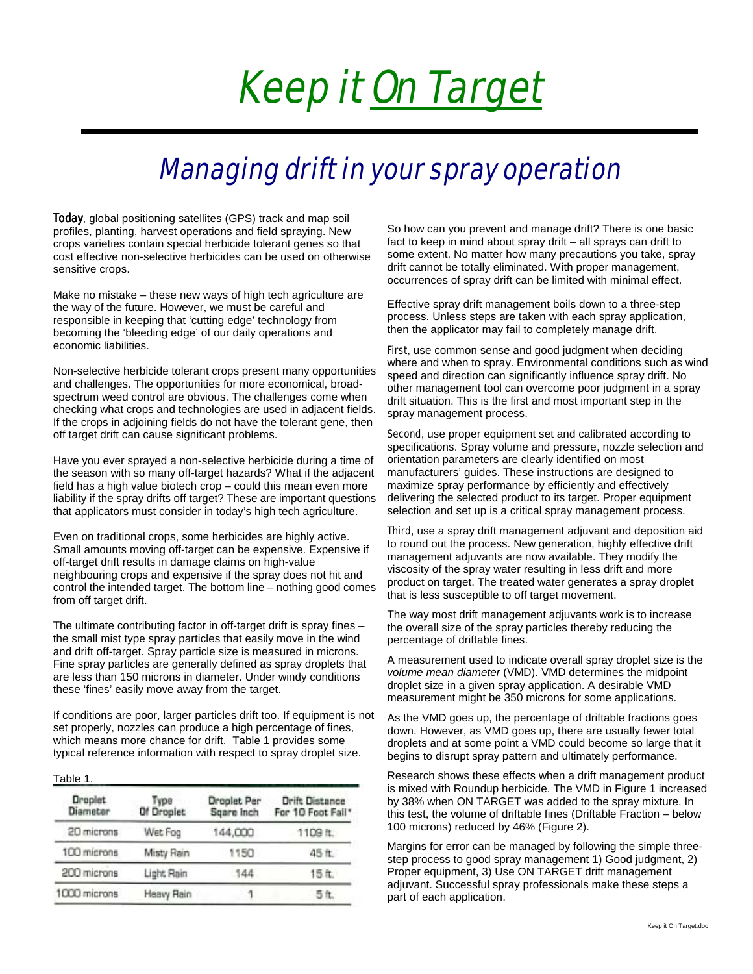### Keep it On Target

### Managing drift in your spray operation

Today, global positioning satellites (GPS) track and map soil profiles, planting, harvest operations and field spraying. New crops varieties contain special herbicide tolerant genes so that cost effective non-selective herbicides can be used on otherwise sensitive crops.

Make no mistake – these new ways of high tech agriculture are the way of the future. However, we must be careful and responsible in keeping that 'cutting edge' technology from becoming the 'bleeding edge' of our daily operations and economic liabilities.

Non-selective herbicide tolerant crops present many opportunities and challenges. The opportunities for more economical, broadspectrum weed control are obvious. The challenges come when checking what crops and technologies are used in adjacent fields. If the crops in adjoining fields do not have the tolerant gene, then off target drift can cause significant problems.

Have you ever sprayed a non-selective herbicide during a time of the season with so many off-target hazards? What if the adjacent field has a high value biotech crop – could this mean even more liability if the spray drifts off target? These are important questions that applicators must consider in today's high tech agriculture.

Even on traditional crops, some herbicides are highly active. Small amounts moving off-target can be expensive. Expensive if off-target drift results in damage claims on high-value neighbouring crops and expensive if the spray does not hit and control the intended target. The bottom line – nothing good comes from off target drift.

The ultimate contributing factor in off-target drift is spray fines – the small mist type spray particles that easily move in the wind and drift off-target. Spray particle size is measured in microns. Fine spray particles are generally defined as spray droplets that are less than 150 microns in diameter. Under windy conditions these 'fines' easily move away from the target.

If conditions are poor, larger particles drift too. If equipment is not set properly, nozzles can produce a high percentage of fines. which means more chance for drift. Table 1 provides some typical reference information with respect to spray droplet size.

#### Table 1.

| <b>Droplet</b><br>Diameter | Тура<br>Of Droplet | Droplet Per<br>Sqare Inch | Drift Distance<br>For 10 Foot Fall* |
|----------------------------|--------------------|---------------------------|-------------------------------------|
| 20 microns                 | Wet Fog            | 144,000                   | 1109 ft.                            |
| 100 microns                | Misty Rain         | 1150                      | 45 ft.                              |
| 200 microns                | Light Rain         | 144                       | 15 <sub>ft</sub>                    |
| 1000 microns               | Heavy Rain         |                           | 5 ft.                               |

So how can you prevent and manage drift? There is one basic fact to keep in mind about spray drift – all sprays can drift to some extent. No matter how many precautions you take, spray drift cannot be totally eliminated. With proper management, occurrences of spray drift can be limited with minimal effect.

Effective spray drift management boils down to a three-step process. Unless steps are taken with each spray application, then the applicator may fail to completely manage drift.

First, use common sense and good judgment when deciding where and when to spray. Environmental conditions such as wind speed and direction can significantly influence spray drift. No other management tool can overcome poor judgment in a spray drift situation. This is the first and most important step in the spray management process.

Second, use proper equipment set and calibrated according to specifications. Spray volume and pressure, nozzle selection and orientation parameters are clearly identified on most manufacturers' guides. These instructions are designed to maximize spray performance by efficiently and effectively delivering the selected product to its target. Proper equipment selection and set up is a critical spray management process.

Third, use a spray drift management adjuvant and deposition aid to round out the process. New generation, highly effective drift management adjuvants are now available. They modify the viscosity of the spray water resulting in less drift and more product on target. The treated water generates a spray droplet that is less susceptible to off target movement.

The way most drift management adjuvants work is to increase the overall size of the spray particles thereby reducing the percentage of driftable fines.

A measurement used to indicate overall spray droplet size is the *volume mean diameter* (VMD). VMD determines the midpoint droplet size in a given spray application. A desirable VMD measurement might be 350 microns for some applications.

As the VMD goes up, the percentage of driftable fractions goes down. However, as VMD goes up, there are usually fewer total droplets and at some point a VMD could become so large that it begins to disrupt spray pattern and ultimately performance.

Research shows these effects when a drift management product is mixed with Roundup herbicide. The VMD in Figure 1 increased by 38% when ON TARGET was added to the spray mixture. In this test, the volume of driftable fines (Driftable Fraction – below 100 microns) reduced by 46% (Figure 2).

Margins for error can be managed by following the simple threestep process to good spray management 1) Good judgment, 2) Proper equipment, 3) Use ON TARGET drift management adjuvant. Successful spray professionals make these steps a part of each application.